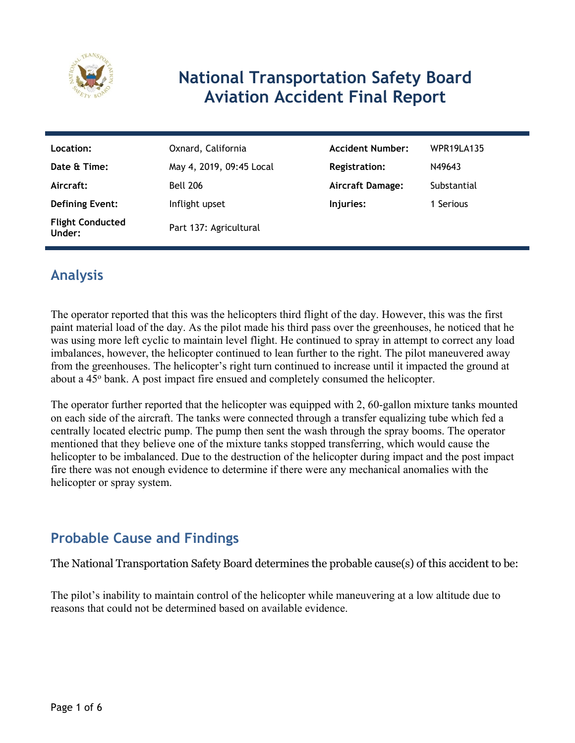

### **National Transportation Safety Board Aviation Accident Final Report**

| Location:                         | Oxnard, California       | <b>Accident Number:</b> | <b>WPR19LA135</b> |
|-----------------------------------|--------------------------|-------------------------|-------------------|
| Date & Time:                      | May 4, 2019, 09:45 Local | <b>Registration:</b>    | N49643            |
| Aircraft:                         | <b>Bell 206</b>          | <b>Aircraft Damage:</b> | Substantial       |
| <b>Defining Event:</b>            | Inflight upset           | Injuries:               | 1 Serious         |
| <b>Flight Conducted</b><br>Under: | Part 137: Agricultural   |                         |                   |

### **Analysis**

The operator reported that this was the helicopters third flight of the day. However, this was the first paint material load of the day. As the pilot made his third pass over the greenhouses, he noticed that he was using more left cyclic to maintain level flight. He continued to spray in attempt to correct any load imbalances, however, the helicopter continued to lean further to the right. The pilot maneuvered away from the greenhouses. The helicopter's right turn continued to increase until it impacted the ground at about a 45<sup>°</sup> bank. A post impact fire ensued and completely consumed the helicopter.

The operator further reported that the helicopter was equipped with 2, 60-gallon mixture tanks mounted on each side of the aircraft. The tanks were connected through a transfer equalizing tube which fed a centrally located electric pump. The pump then sent the wash through the spray booms. The operator mentioned that they believe one of the mixture tanks stopped transferring, which would cause the helicopter to be imbalanced. Due to the destruction of the helicopter during impact and the post impact fire there was not enough evidence to determine if there were any mechanical anomalies with the helicopter or spray system.

### **Probable Cause and Findings**

The National Transportation Safety Board determines the probable cause(s) of this accident to be:

The pilot's inability to maintain control of the helicopter while maneuvering at a low altitude due to reasons that could not be determined based on available evidence.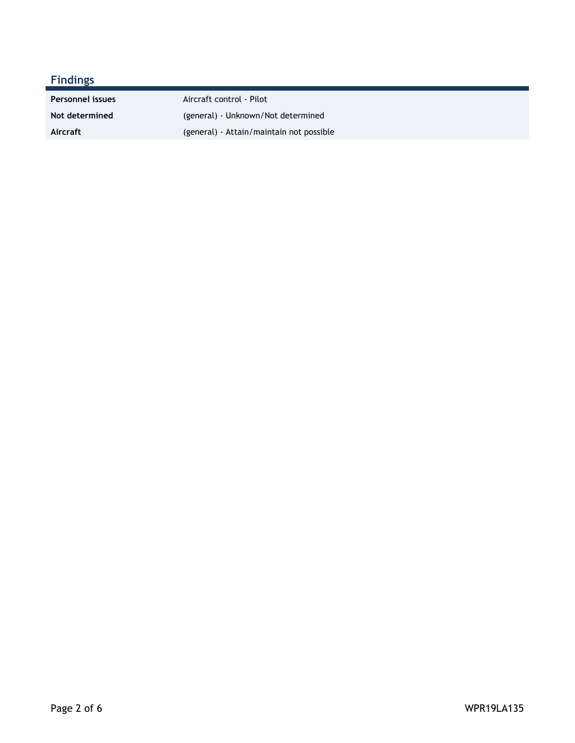| <b>Findings</b>         |                                          |
|-------------------------|------------------------------------------|
| <b>Personnel issues</b> | Aircraft control - Pilot                 |
| Not determined          | (general) - Unknown/Not determined       |
| Aircraft                | (general) - Attain/maintain not possible |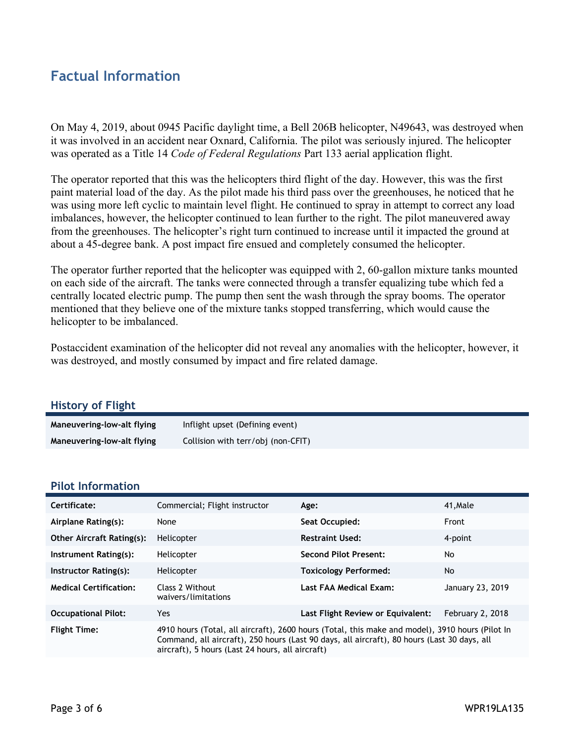### **Factual Information**

On May 4, 2019, about 0945 Pacific daylight time, a Bell 206B helicopter, N49643, was destroyed when it was involved in an accident near Oxnard, California. The pilot was seriously injured. The helicopter was operated as a Title 14 *Code of Federal Regulations* Part 133 aerial application flight.

The operator reported that this was the helicopters third flight of the day. However, this was the first paint material load of the day. As the pilot made his third pass over the greenhouses, he noticed that he was using more left cyclic to maintain level flight. He continued to spray in attempt to correct any load imbalances, however, the helicopter continued to lean further to the right. The pilot maneuvered away from the greenhouses. The helicopter's right turn continued to increase until it impacted the ground at about a 45-degree bank. A post impact fire ensued and completely consumed the helicopter.

The operator further reported that the helicopter was equipped with 2, 60-gallon mixture tanks mounted on each side of the aircraft. The tanks were connected through a transfer equalizing tube which fed a centrally located electric pump. The pump then sent the wash through the spray booms. The operator mentioned that they believe one of the mixture tanks stopped transferring, which would cause the helicopter to be imbalanced.

Postaccident examination of the helicopter did not reveal any anomalies with the helicopter, however, it was destroyed, and mostly consumed by impact and fire related damage.

| <b>History of Flight</b>   |                                    |
|----------------------------|------------------------------------|
| Maneuvering-low-alt flying | Inflight upset (Defining event)    |
| Maneuvering-low-alt flying | Collision with terr/obj (non-CFIT) |

#### **Pilot Information**

| Certificate:                     | Commercial; Flight instructor                                                                                                                                                                                                                      | Age:                              | 41, Male         |
|----------------------------------|----------------------------------------------------------------------------------------------------------------------------------------------------------------------------------------------------------------------------------------------------|-----------------------------------|------------------|
| Airplane Rating(s):              | None                                                                                                                                                                                                                                               | Seat Occupied:                    | Front            |
| <b>Other Aircraft Rating(s):</b> | Helicopter                                                                                                                                                                                                                                         | <b>Restraint Used:</b>            | 4-point          |
| Instrument Rating(s):            | Helicopter                                                                                                                                                                                                                                         | <b>Second Pilot Present:</b>      | No               |
| Instructor Rating(s):            | Helicopter                                                                                                                                                                                                                                         | <b>Toxicology Performed:</b>      | <b>No</b>        |
| <b>Medical Certification:</b>    | Class 2 Without<br>waivers/limitations                                                                                                                                                                                                             | Last FAA Medical Exam:            | January 23, 2019 |
| <b>Occupational Pilot:</b>       | Yes                                                                                                                                                                                                                                                | Last Flight Review or Equivalent: | February 2, 2018 |
| <b>Flight Time:</b>              | 4910 hours (Total, all aircraft), 2600 hours (Total, this make and model), 3910 hours (Pilot In<br>Command, all aircraft), 250 hours (Last 90 days, all aircraft), 80 hours (Last 30 days, all<br>aircraft), 5 hours (Last 24 hours, all aircraft) |                                   |                  |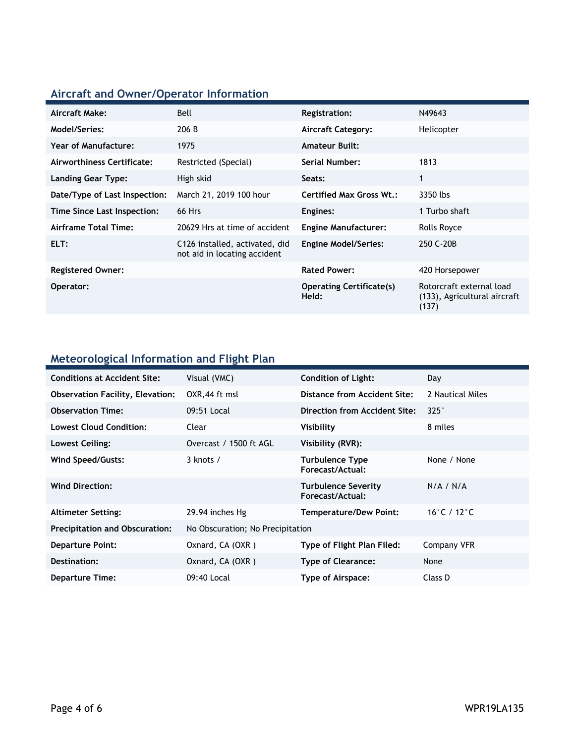## **Aircraft and Owner/Operator Information**

| Aircraft Make:                | Bell                                                           | <b>Registration:</b>                     | N49643                                                            |
|-------------------------------|----------------------------------------------------------------|------------------------------------------|-------------------------------------------------------------------|
| Model/Series:                 | 206 B                                                          | <b>Aircraft Category:</b>                | Helicopter                                                        |
| Year of Manufacture:          | 1975                                                           | <b>Amateur Built:</b>                    |                                                                   |
| Airworthiness Certificate:    | Restricted (Special)                                           | Serial Number:                           | 1813                                                              |
| Landing Gear Type:            | High skid                                                      | Seats:                                   | $\mathbf{1}$                                                      |
| Date/Type of Last Inspection: | March 21, 2019 100 hour                                        | Certified Max Gross Wt.:                 | 3350 lbs                                                          |
| Time Since Last Inspection:   | 66 Hrs                                                         | Engines:                                 | 1 Turbo shaft                                                     |
| Airframe Total Time:          | 20629 Hrs at time of accident                                  | <b>Engine Manufacturer:</b>              | Rolls Royce                                                       |
| ELT:                          | C126 installed, activated, did<br>not aid in locating accident | <b>Engine Model/Series:</b>              | 250 C-20B                                                         |
| <b>Registered Owner:</b>      |                                                                | <b>Rated Power:</b>                      | 420 Horsepower                                                    |
| Operator:                     |                                                                | <b>Operating Certificate(s)</b><br>Held: | Rotorcraft external load<br>(133), Agricultural aircraft<br>(137) |

### **Meteorological Information and Flight Plan**

| <b>Conditions at Accident Site:</b>     | Visual (VMC)                     | <b>Condition of Light:</b>                     | Day              |
|-----------------------------------------|----------------------------------|------------------------------------------------|------------------|
| <b>Observation Facility, Elevation:</b> | OXR, 44 ft msl                   | Distance from Accident Site:                   | 2 Nautical Miles |
| <b>Observation Time:</b>                | 09:51 Local                      | Direction from Accident Site:                  | $325^\circ$      |
| <b>Lowest Cloud Condition:</b>          | Clear                            | Visibility                                     | 8 miles          |
| Lowest Ceiling:                         | Overcast / 1500 ft AGL           | Visibility (RVR):                              |                  |
| Wind Speed/Gusts:                       | $3$ knots $/$                    | <b>Turbulence Type</b><br>Forecast/Actual:     | None / None      |
| <b>Wind Direction:</b>                  |                                  | <b>Turbulence Severity</b><br>Forecast/Actual: | N/A / N/A        |
| <b>Altimeter Setting:</b>               | 29.94 inches Hg                  | <b>Temperature/Dew Point:</b>                  | 16°C / 12°C      |
| <b>Precipitation and Obscuration:</b>   | No Obscuration; No Precipitation |                                                |                  |
| <b>Departure Point:</b>                 | Oxnard, CA (OXR)                 | Type of Flight Plan Filed:                     | Company VFR      |
| Destination:                            | Oxnard, CA (OXR)                 | <b>Type of Clearance:</b>                      | None             |
| <b>Departure Time:</b>                  | 09:40 Local                      | Type of Airspace:                              | Class D          |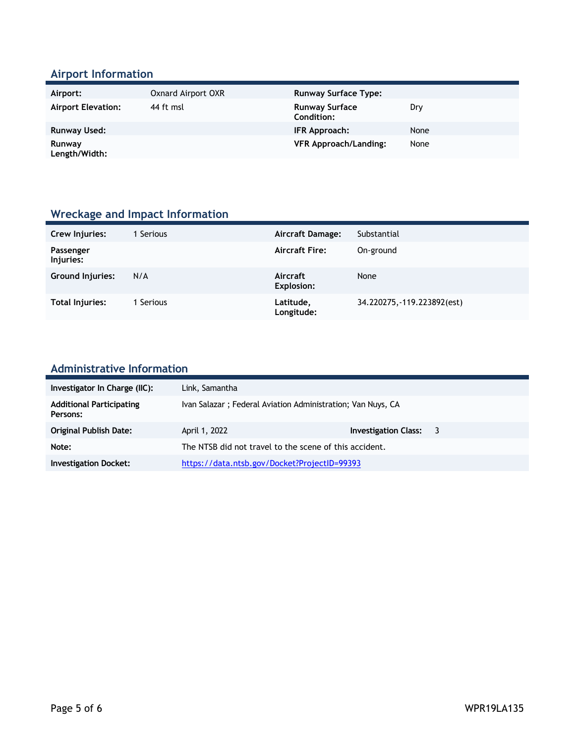### **Airport Information**

| Airport:                  | Oxnard Airport OXR | <b>Runway Surface Type:</b>                |      |
|---------------------------|--------------------|--------------------------------------------|------|
| <b>Airport Elevation:</b> | 44 ft msl          | <b>Runway Surface</b><br><b>Condition:</b> | Dry  |
| Runway Used:              |                    | IFR Approach:                              | None |
| Runway<br>Length/Width:   |                    | <b>VFR Approach/Landing:</b>               | None |

### **Wreckage and Impact Information**

| Crew Injuries:          | Serious | Aircraft Damage:              | Substantial                 |
|-------------------------|---------|-------------------------------|-----------------------------|
| Passenger<br>Injuries:  |         | <b>Aircraft Fire:</b>         | On-ground                   |
| <b>Ground Injuries:</b> | N/A     | Aircraft<br><b>Explosion:</b> | None                        |
| <b>Total Injuries:</b>  | Serious | Latitude,<br>Longitude:       | 34.220275, -119.223892(est) |

# **Administrative Information**

| Investigator In Charge (IIC):               | Link, Samantha                                              |                        |  |
|---------------------------------------------|-------------------------------------------------------------|------------------------|--|
| <b>Additional Participating</b><br>Persons: | Ivan Salazar; Federal Aviation Administration; Van Nuys, CA |                        |  |
| <b>Original Publish Date:</b>               | April 1, 2022                                               | Investigation Class: 3 |  |
| Note:                                       | The NTSB did not travel to the scene of this accident.      |                        |  |
| <b>Investigation Docket:</b>                | https://data.ntsb.gov/Docket?ProjectID=99393                |                        |  |